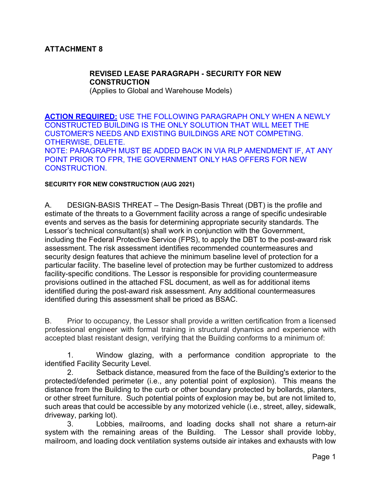# **ATTACHMENT 8**

# **REVISED LEASE PARAGRAPH - SECURITY FOR NEW CONSTRUCTION**

(Applies to Global and Warehouse Models)

**ACTION REQUIRED:** USE THE FOLLOWING PARAGRAPH ONLY WHEN A NEWLY CONSTRUCTED BUILDING IS THE ONLY SOLUTION THAT WILL MEET THE CUSTOMER'S NEEDS AND EXISTING BUILDINGS ARE NOT COMPETING. OTHERWISE, DELETE. NOTE: PARAGRAPH MUST BE ADDED BACK IN VIA RLP AMENDMENT IF, AT ANY POINT PRIOR TO FPR, THE GOVERNMENT ONLY HAS OFFERS FOR NEW CONSTRUCTION.

#### **SECURITY FOR NEW CONSTRUCTION (AUG 2021)**

A. DESIGN-BASIS THREAT – The Design-Basis Threat (DBT) is the profile and estimate of the threats to a Government facility across a range of specific undesirable events and serves as the basis for determining appropriate security standards. The Lessor's technical consultant(s) shall work in conjunction with the Government, including the Federal Protective Service (FPS), to apply the DBT to the post-award risk assessment. The risk assessment identifies recommended countermeasures and security design features that achieve the minimum baseline level of protection for a particular facility. The baseline level of protection may be further customized to address facility-specific conditions. The Lessor is responsible for providing countermeasure provisions outlined in the attached FSL document, as well as for additional items identified during the post-award risk assessment. Any additional countermeasures identified during this assessment shall be priced as BSAC.

B. Prior to occupancy, the Lessor shall provide a written certification from a licensed professional engineer with formal training in structural dynamics and experience with accepted blast resistant design, verifying that the Building conforms to a minimum of:

1. Window glazing, with a performance condition appropriate to the identified Facility Security Level.

2. Setback distance, measured from the face of the Building's exterior to the protected/defended perimeter (i.e., any potential point of explosion). This means the distance from the Building to the curb or other boundary protected by bollards, planters, or other street furniture. Such potential points of explosion may be, but are not limited to, such areas that could be accessible by any motorized vehicle (i.e., street, alley, sidewalk, driveway, parking lot).

3. Lobbies, mailrooms, and loading docks shall not share a return-air system with the remaining areas of the Building. The Lessor shall provide lobby, mailroom, and loading dock ventilation systems outside air intakes and exhausts with low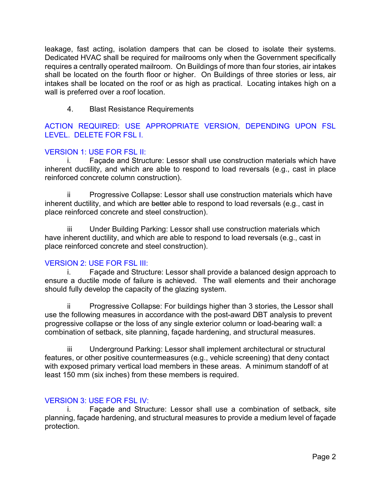leakage, fast acting, isolation dampers that can be closed to isolate their systems. Dedicated HVAC shall be required for mailrooms only when the Government specifically requires a centrally operated mailroom. On Buildings of more than four stories, air intakes shall be located on the fourth floor or higher. On Buildings of three stories or less, air intakes shall be located on the roof or as high as practical. Locating intakes high on a wall is preferred over a roof location.

4. Blast Resistance Requirements

ACTION REQUIRED: USE APPROPRIATE VERSION, DEPENDING UPON FSL LEVEL. DELETE FOR FSL I.

## VERSION 1: USE FOR FSL II:

i. Façade and Structure: Lessor shall use construction materials which have inherent ductility, and which are able to respond to load reversals (e.g., cast in place reinforced concrete column construction).

Progressive Collapse: Lessor shall use construction materials which have inherent ductility, and which are better able to respond to load reversals (e.g., cast in place reinforced concrete and steel construction).

iii Under Building Parking: Lessor shall use construction materials which have inherent ductility, and which are able to respond to load reversals (e.g., cast in place reinforced concrete and steel construction).

### VERSION 2: USE FOR FSL III:

i. Façade and Structure: Lessor shall provide a balanced design approach to ensure a ductile mode of failure is achieved. The wall elements and their anchorage should fully develop the capacity of the glazing system.

ii Progressive Collapse: For buildings higher than 3 stories, the Lessor shall use the following measures in accordance with the post-award DBT analysis to prevent progressive collapse or the loss of any single exterior column or load-bearing wall: a combination of setback, site planning, façade hardening, and structural measures.

iii Underground Parking: Lessor shall implement architectural or structural features, or other positive countermeasures (e.g., vehicle screening) that deny contact with exposed primary vertical load members in these areas. A minimum standoff of at least 150 mm (six inches) from these members is required.

### VERSION 3: USE FOR FSL IV:

i. Façade and Structure: Lessor shall use a combination of setback, site planning, façade hardening, and structural measures to provide a medium level of façade protection.